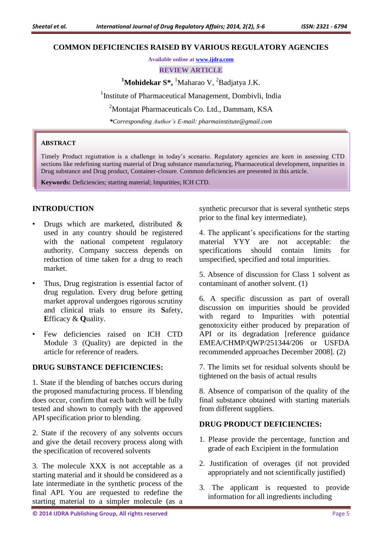#### **COMMON DEFICIENCIES RAISED BY VARIOUS REGULATORY AGENCIES**

**Available online at [www.ijdra.com](http://www.ijdra.com/)**

**REVIEW ARTICLE**

<sup>1</sup>Mohidekar S<sup>\*</sup>, <sup>1</sup>Maharao V, <sup>2</sup>Badjatya J.K.

<sup>1</sup>Institute of Pharmaceutical Management, Dombivli, India

<sup>2</sup>Montajat Pharmaceuticals Co. Ltd., Dammam, KSA

*\*Corresponding Author's E-mail[: pharmainstitute@gmail.com](mailto:pharmainstitute@gmail.com)*

#### **ABSTRACT**

Timely Product registration is a challenge in today's scenario. Regulatory agencies are keen in assessing CTD sections like redefining starting material of Drug substance manufacturing, Pharmaceutical development, impurities in Drug substance and Drug product, Container-closure. Common deficiencies are presented in this article.

**Keywords:** Deficiencies; starting material; Impurities; ICH CTD.

# **INTRODUCTION**

- Drugs which are marketed, distributed  $\&$ used in any country should be registered with the national competent regulatory authority. Company success depends on reduction of time taken for a drug to reach market.
- Thus, Drug registration is essential factor of drug regulation. Every drug before getting market approval undergoes rigorous scrutiny and clinical trials to ensure its **S**afety, **E**fficacy & **Q**uality.
- Few deficiencies raised on ICH CTD Module 3 (Quality) are depicted in the article for reference of readers.

# **DRUG SUBSTANCE DEFICIENCIES:**

1. State if the blending of batches occurs during the proposed manufacturing process. If blending does occur, confirm that each batch will be fully tested and shown to comply with the approved API specification prior to blending.

2. State if the recovery of any solvents occurs and give the detail recovery process along with the specification of recovered solvents

3. The molecule XXX is not acceptable as a starting material and it should be considered as a late intermediate in the synthetic process of the final API. You are requested to redefine the starting material to a simpler molecule (as a

synthetic precursor that is several synthetic steps prior to the final key intermediate).

4. The applicant's specifications for the starting material YYY are not acceptable: the specifications should contain limits for unspecified, specified and total impurities.

5. Absence of discussion for Class 1 solvent as contaminant of another solvent. (1)

6. A specific discussion as part of overall discussion on impurities should be provided with regard to Impurities with potential genotoxicity either produced by preparation of API or its degradation [reference guidance EMEA/CHMP/QWP/251344/206 or USFDA recommended approaches December 2008]. (2)

7. The limits set for residual solvents should be tightened on the basis of actual results

8. Absence of comparison of the quality of the final substance obtained with starting materials from different suppliers.

# **DRUG PRODUCT DEFICIENCIES:**

- 1. Please provide the percentage, function and grade of each Excipient in the formulation
- 2. Justification of overages (if not provided appropriately and not scientifically justified)
- 3. The applicant is requested to provide information for all ingredients including